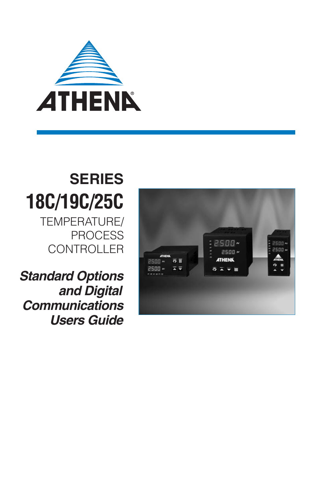

# **SERIES 18C/19C/25C**

TEMPERATURE/ PROCESS **CONTROLLER** 

**Standard Options and Digital Communications Users Guide**

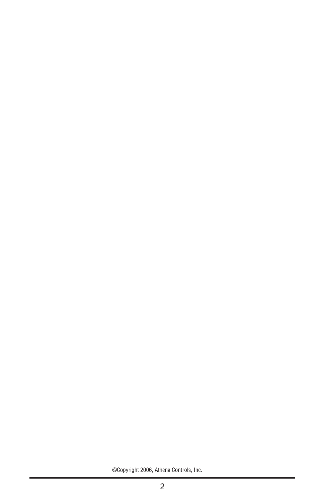©Copyright 2006, Athena Controls, Inc.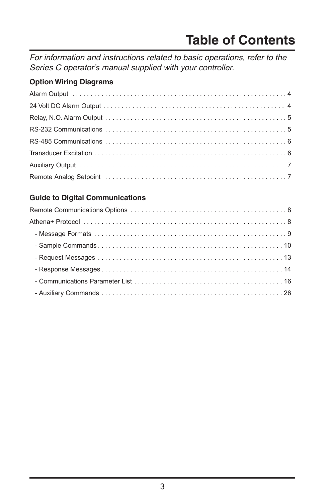For information and instructions related to basic operations, refer to the Series C operator's manual supplied with your controller.

## **Option Wiring Diagrams**

## **Guide to Digital Communications**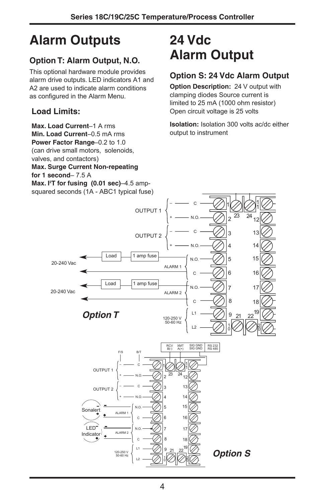# **Alarm Outputs**

## **Option T: Alarm Output, N.O.**

This optional hardware module provides alarm drive outputs. LED indicators A1 and A2 are used to indicate alarm conditions as configured in the Alarm Menu.

## **Load Limits:**

**Max. Load Current**–1 A rms **Min. Load Current**–0.5 mA rms **Power Factor Range–0.2 to 1.0** (can drive small motors, solenoids, valves, and contactors) **Max. Surge Current Non-repeating for 1 second**– 7.5 A **Max. I2 T for fusing (0.01 sec)**–4.5 ampsquared seconds (1A - ABC1 typical fuse)

# **24 Vdc Alarm Output**

## **Option S: 24 Vdc Alarm Output**

**Option Description:** 24 V output with clamping diodes Source current is limited to 25 mA (1000 ohm resistor) Open circuit voltage is 25 volts

**Isolation:** Isolation 300 volts ac/dc either output to instrument

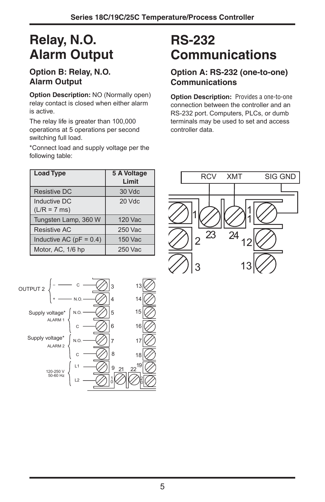# **Relay, N.O. Alarm Output**

## **Option B: Relay, N.O. Alarm Output**

**Option Description:** NO (Normally open) relay contact is closed when either alarm is active.

The relay life is greater than 100,000 operations at 5 operations per second switching full load.

\*Connect load and supply voltage per the following table:

### **Load Type 5 A Voltage Limit** Resistive DC  $\vert$  30 Vdc Inductive DC 20 Vdc  $(L/R = 7$  ms) Tungsten Lamp,  $360 W$  | 120 Vac Resistive AC 250 Vac Inductive AC ( $pF = 0.4$ ) | 150 Vac Motor, AC, 1/6 hp 250 Vac

# **RS-232 Communications**

### **Option A: RS-232 (one-to-one) Communications**

**Option Description:** Provides a one-to-one connection between the controller and an RS-232 port. Computers, PLCs, or dumb terminals may be used to set and access controller data.



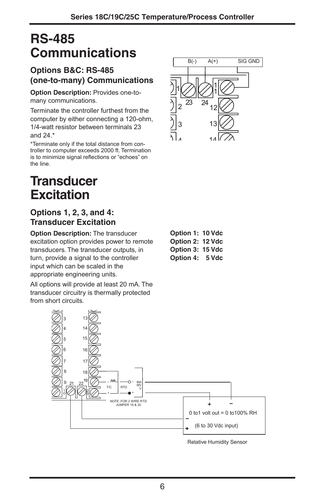## **RS-485 Communications**

## **Options B&C: RS-485 (one-to-many) Communications**

**Option Description:** Provides one-tomany communications.

Terminate the controller furthest from the computer by either connecting a 120-ohm, 1/4-watt resistor between terminals 23 and 24.\*

\*Terminate only if the total distance from controller to computer exceeds 2000 ft. Termination is to minimize signal reflections or "echoes" on the line.

## **Transducer Excitation**

## **Options 1, 2, 3, and 4: Transducer Excitation**

**Option Description:** The transducer excitation option provides power to remote transducers. The transducer outputs, in turn, provide a signal to the controller input which can be scaled in the appropriate engineering units.

All options will provide at least 20 mA. The transducer circuitry is thermally protected from short circuits.

**Option 1: 10 Vdc Option 2: 12 Vdc Option 3: 15 Vdc Option 4: 5 Vdc**



1  $\overline{\mathcal{L}}$ 3 1 1 12 13  $14$ 23 24  $\overline{a}$  $\overline{B(}$  $\mathcal{L}(\mathcal{A})$  $\overline{A(+)}$  $B(-)$   $A(+)$  SIG GND

SIG GND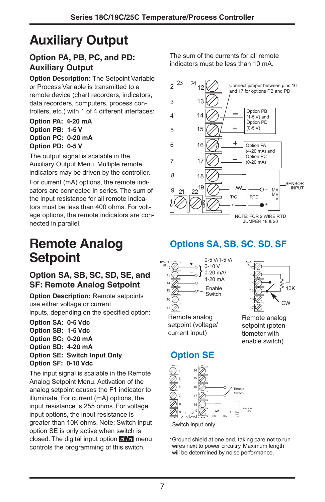# **Auxiliary Output**

## **Option PA, PB, PC, and PD: Auxiliary Output**

**Option Description:** The Setpoint Variable or Process Variable is transmitted to a remote device (chart recorders, indicators, data recorders, computers, process controllers, etc.) with 1 of 4 different interfaces:

#### **Option PA: 4-20 mA Option PB: 1-5 V Option PC: 0-20 mA Option PD: 0-5 V**

The output signal is scalable in the Auxiliary Output Menu. Multiple remote indicators may be driven by the controller.

For current (mA) options, the remote indicators are connected in series. The sum of the input resistance for all remote indicators must be less than 400 ohms. For voltage options, the remote indicators are connected in parallel.

# **Remote Analog Setpoint**

## **Option SA, SB, SC, SD, SE, and SF: Remote Analog Setpoint**

**Option Description:** Remote setpoints use either voltage or current inputs, depending on the specified option:

**Option SA: 0-5 Vdc Option SB: 1-5 Vdc Option SC: 0-20 mA Option SD: 4-20 mA Option SE: Switch Input Only Option SF: 0-10 Vdc**

The input signal is scalable in the Remote Analog Setpoint Menu. Activation of the analog setpoint causes the F1 indicator to illuminate. For current (mA) options, the input resistance is 255 ohms. For voltage input options, the input resistance is greater than 10K ohms. Note: Switch input option SE is only active when switch is closed. The digital input option  $\mathbf{z}$  for menu controls the programming of this switch.

The sum of the currents for all remote indicators must be less than 10 mA.



## **Options SA, SB, SC, SD, SF**





Remote analog setpoint (voltage/ current input)

Remote analog setpoint (potentiometer with enable switch)

## **Option SE**



\*Ground shield at one end, taking care not to run wires next to power circuitry. Maximum length will be determined by noise performance.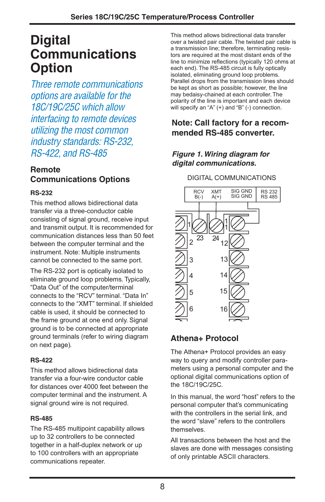## **Digital Communications Option**

Three remote communications options are available for the 18C/19C/25C which allow interfacing to remote devices utilizing the most common industry standards: RS-232, RS-422, and RS-485

## **Remote Communications Options**

#### **RS-232**

This method allows bidirectional data transfer via a three-conductor cable consisting of signal ground, receive input and transmit output. It is recommended for communication distances less than 50 feet between the computer terminal and the instrument. Note: Multiple instruments cannot be connected to the same port.

The RS-232 port is optically isolated to eliminate ground loop problems. Typically, "Data Out" of the computer/terminal connects to the "RCV" terminal. "Data In" connects to the "XMT" terminal. If shielded cable is used, it should be connected to the frame ground at one end only. Signal ground is to be connected at appropriate ground terminals (refer to wiring diagram on next page).

#### **RS-422**

This method allows bidirectional data transfer via a four-wire conductor cable for distances over 4000 feet between the computer terminal and the instrument. A signal ground wire is not required.

#### **RS-485**

The RS-485 multipoint capability allows up to 32 controllers to be connected together in a half-duplex network or up to 100 controllers with an appropriate communications repeater.

This method allows bidirectional data transfer over a twisted pair cable. The twisted pair cable is a transmission line; therefore, terminating resistors are required at the most distant ends of the line to minimize reflections (typically 120 ohms at each end). The RS-485 circuit is fully optically isolated, eliminating ground loop problems. Parallel drops from the transmission lines should be kept as short as possible; however, the line may bedaisy-chained at each controller. The polarity of the line is important and each device will specify an "A" (+) and "B" (-) connection.

### **Note: Call factory for a recommended RS-485 converter.**

#### **Figure 1. Wiring diagram for digital communications.**

DIGITAL COMMUNICATIONS



## **Athena+ Protocol**

The Athena+ Protocol provides an easy way to query and modify controller parameters using a personal computer and the optional digital communications option of the 18C/19C/25C.

In this manual, the word "host" refers to the personal computer that's communicating with the controllers in the serial link, and the word "slave" refers to the controllers themselves.

All transactions between the host and the slaves are done with messages consisting of only printable ASCII characters.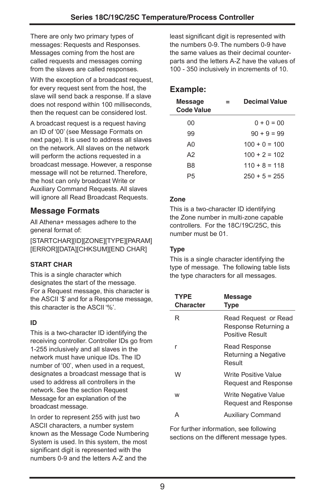There are only two primary types of messages: Requests and Responses. Messages coming from the host are called requests and messages coming from the slaves are called responses.

With the exception of a broadcast request, for every request sent from the host, the slave will send back a response. If a slave does not respond within 100 milliseconds, then the request can be considered lost.

A broadcast request is a request having an ID of '00' (see Message Formats on next page). It is used to address all slaves on the network. All slaves on the network will perform the actions requested in a broadcast message. However, a response message will not be returned. Therefore, the host can only broadcast Write or Auxiliary Command Requests. All slaves will ignore all Read Broadcast Requests.

## **Message Formats**

All Athena+ messages adhere to the general format of:

[STARTCHAR][ID][ZONE][TYPE][PARAM] [ERROR][DATA][CHKSUM][END CHAR]

#### **START CHAR**

This is a single character which designates the start of the message. For a Request message, this character is the ASCII '\$' and for a Response message, this character is the ASCII '%'.

#### **ID**

This is a two-character ID identifying the receiving controller. Controller IDs go from 1-255 inclusively and all slaves in the network must have unique IDs. The ID number of '00', when used in a request, designates a broadcast message that is used to address all controllers in the network. See the section Request Message for an explanation of the broadcast message.

In order to represent 255 with just two ASCII characters, a number system known as the Message Code Numbering System is used. In this system, the most significant digit is represented with the numbers 0-9 and the letters A-Z and the

least significant digit is represented with the numbers 0-9. The numbers 0-9 have the same values as their decimal counterparts and the letters A-Z have the values of 100 - 350 inclusively in increments of 10.

## **Example:**

| <b>Message</b><br>Code Value | = | Decimal Value   |
|------------------------------|---|-----------------|
| 00                           |   | $0 + 0 = 00$    |
| 99                           |   | $90 + 9 = 99$   |
| AΩ                           |   | $100 + 0 = 100$ |
| A2                           |   | $100 + 2 = 102$ |
| B8                           |   | $110 + 8 = 118$ |
| Р5                           |   | $250 + 5 = 255$ |

#### **Zone**

This is a two-character ID identifying the Zone number in multi-zone capable controllers. For the 18C/19C/25C, this number must be 01.

#### **Type**

This is a single character identifying the type of message. The following table lists the type characters for all messages.

| <b>TYPE</b><br><b>Character</b> | Message<br><b>Type</b>                                          |
|---------------------------------|-----------------------------------------------------------------|
| R                               | Read Request or Read<br>Response Returning a<br>Positive Result |
|                                 | <b>Read Response</b><br>Returning a Negative<br>Result          |
| W                               | Write Positive Value<br>Request and Response                    |
| W                               | Write Negative Value<br>Request and Response                    |
|                                 | <b>Auxiliary Command</b>                                        |

For further information, see following sections on the different message types.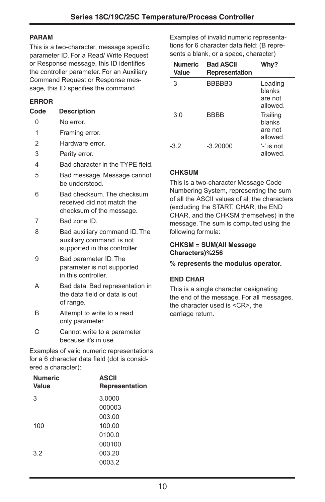#### **PARAM**

This is a two-character, message specific, parameter ID. For a Read/ Write Request or Response message, this ID identifies the controller parameter. For an Auxiliary Command Request or Response message, this ID specifies the command.

#### **ERROR**

| Code | <b>Description</b>                                                                         |
|------|--------------------------------------------------------------------------------------------|
| 0    | No error                                                                                   |
| 1    | Framing error.                                                                             |
| 2    | Hardware error                                                                             |
| 3    | Parity error.                                                                              |
| 4    | Bad character in the TYPE field.                                                           |
| 5    | Bad message. Message cannot<br>be understood                                               |
| 6    | Bad checksum. The checksum<br>received did not match the<br>checksum of the message.       |
| 7    | Bad zone ID.                                                                               |
| 8    | Bad auxiliary command ID. The<br>auxiliary command is not<br>supported in this controller. |
| 9    | Bad parameter ID. The<br>parameter is not supported<br>in this controller.                 |
| A    | Bad data. Bad representation in<br>the data field or data is out<br>of range.              |
| B    | Attempt to write to a read<br>only parameter.                                              |
| С    | Cannot write to a parameter                                                                |

because it's in use.

Examples of valid numeric representations for a 6 character data field (dot is considered a character):

| Numeric<br>Value | ASCII<br>Representation |
|------------------|-------------------------|
| 3                | 3.0000                  |
|                  | 000003                  |
|                  | 003.00                  |
| 100              | 100.00                  |
|                  | 0100.0                  |
|                  | 000100                  |
| 3.2              | 003.20                  |
|                  | 0003.2                  |
|                  |                         |

Examples of invalid numeric representations for 6 character data field: (B represents a blank, or a space, character)

| <b>Numeric</b><br>Value | <b>Bad ASCII</b><br>Representation | Why?                                      |
|-------------------------|------------------------------------|-------------------------------------------|
| 3                       | BBBBB3                             | Leading<br>blanks<br>are not<br>allowed   |
| 3 O                     | <b>BBBB</b>                        | Trailing<br>blanks<br>are not<br>allowed. |
| $-32$                   | -3 20000                           | '-' is not<br>allowed                     |

#### **CHKSUM**

This is a two-character Message Code Numbering System, representing the sum of all the ASCII values of all the characters (excluding the START, CHAR, the END CHAR, and the CHKSM themselves) in the message. The sum is computed using the following formula:

#### **CHKSM = SUM(All Message Characters)%256**

#### **% represents the modulus operator.**

#### **END CHAR**

This is a single character designating the end of the message. For all messages, the character used is <CR>, the carriage return.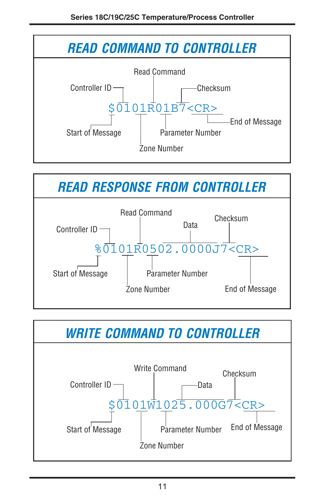



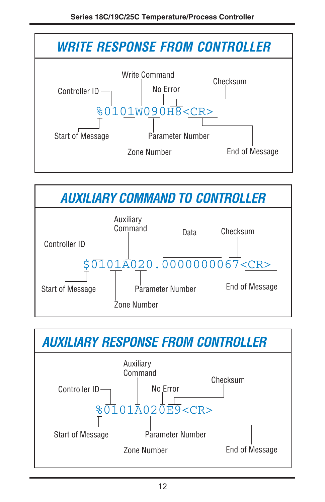



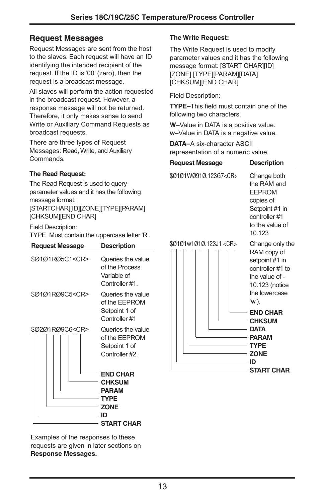## **Request Messages**

Request Messages are sent from the host to the slaves. Each request will have an ID identifying the intended recipient of the request. If the ID is '00' (zero), then the request is a broadcast message.

All slaves will perform the action requested in the broadcast request. However, a response message will not be returned. Therefore, it only makes sense to send Write or Auxiliary Command Requests as broadcast requests.

There are three types of Request Messages: Read, Write, and Auxiliary Commands.

#### **The Read Request:**

The Read Request is used to query parameter values and it has the following message format: [STARTCHAR][ID][ZONE][TYPE][PARAM] [CHKSUM][END CHAR]

Field Description:

TYPE Must contain the uppercase letter 'R'.

| <b>Request Message</b> | <b>Description</b>                                                                                        |
|------------------------|-----------------------------------------------------------------------------------------------------------|
| \$Ø1Ø1RØ5C1 <cr></cr>  | Queries the value<br>of the Process<br>Variable of<br>Controller #1.                                      |
| \$Ø1Ø1RØ9C5 <cr></cr>  | Queries the value<br>of the EEPROM<br>Setpoint 1 of<br>Controller #1                                      |
| \$Ø2Ø1RØ9C6 <cr></cr>  | Queries the value<br>of the EEPROM<br>Setpoint 1 of<br>Controller #2.                                     |
|                        | <b>END CHAR</b><br><b>CHKSUM</b><br><b>PARAM</b><br><b>TYPE</b><br><b>ZONE</b><br>חו<br><b>START CHAR</b> |

#### **The Write Request:**

The Write Request is used to modify parameter values and it has the following message format: [START CHAR][ID] [ZONE] [TYPE][PARAM][DATA] [CHKSUM][END CHAR]

Field Description:

**TYPE–**This field must contain one of the following two characters.

**W–**Value in DATA is a positive value. **w–**Value in DATA is a negative value.

**DATA–**A six-character ASCII representation of a numeric value.

| <b>Request Message</b>      | <b>Description</b>                                                                                                                    |
|-----------------------------|---------------------------------------------------------------------------------------------------------------------------------------|
| \$0101W0910.123G7 <cr></cr> | Change both<br>the RAM and<br>FFPROM<br>copies of<br>Setpoint #1 in<br>controller #1<br>to the value of<br>10 123                     |
| \$Ø1Ø1w1Ø1Ø.123J1 <cr></cr> | Change only the<br>RAM copy of<br>setpoint #1 in<br>controller #1 to<br>the value of -<br>10.123 (notice<br>the lowercase<br>$(w')$ . |
|                             | <b>END CHAR</b><br><b>CHKSUM</b><br><b>DATA</b><br><b>PARAM</b><br><b>TYPE</b><br><b>ZONE</b><br>ID<br><b>START CHAR</b>              |

Examples of the responses to these requests are given in later sections on **Response Messages.**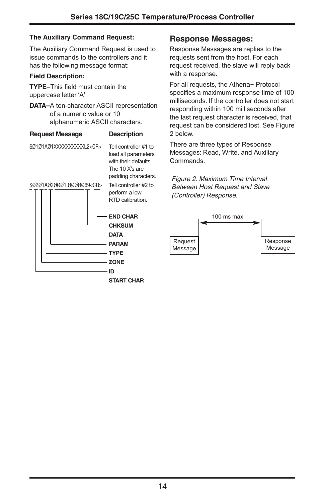#### **The Auxiliary Command Request:**

The Auxiliary Command Request is used to issue commands to the controllers and it has the following message format:

#### **Field Description:**

**TYPE–**This field must contain the uppercase letter 'A'

#### **DATA–**A ten-character ASCII representation of a numeric value or 10 alphanumeric ASCII characters.

| <b>Request Message</b>          | <b>Description</b>                                                                                                                                                                    |
|---------------------------------|---------------------------------------------------------------------------------------------------------------------------------------------------------------------------------------|
| \$0101A01XXXXXXXXXL2 <cr></cr>  | Tell controller #1 to<br>load all parameters<br>with their defaults.<br>The 10 X's are<br>padding characters.                                                                         |
| \$0201A020001.0000069 <cr></cr> | Tell controller #2 to<br>perform a low<br>RTD calibration<br><b>END CHAR</b><br><b>CHKSUM</b><br><b>DATA</b><br><b>PARAM</b><br><b>TYPE</b><br><b>ZONE</b><br>ID<br><b>START CHAR</b> |

### **Response Messages:**

Response Messages are replies to the requests sent from the host. For each request received, the slave will reply back with a response.

For all requests, the Athena+ Protocol specifies a maximum response time of 100 milliseconds. If the controller does not start responding within 100 milliseconds after the last request character is received, that request can be considered lost. See Figure 2 below.

There are three types of Response Messages: Read, Write, and Auxiliary Commands.

Figure 2. Maximum Time Interval Between Host Request and Slave (Controller) Response.

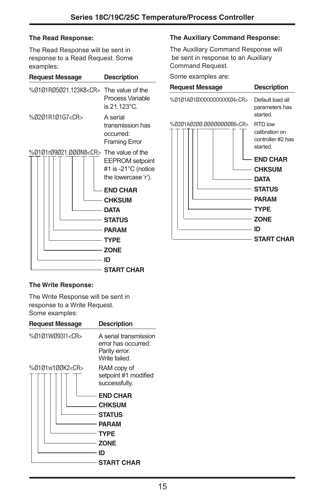#### **The Read Response:**

The Read Response will be sent in response to a Read Request. Some examples:

| <b>Request Message</b>                                  | <b>Description</b>                                                      |
|---------------------------------------------------------|-------------------------------------------------------------------------|
| %0101R05021.123K8 <cr>The value of the</cr>             | <b>Process Variable</b><br>is 21.123°C.                                 |
| %0201R101G7 <cr></cr>                                   | A serial<br>transmission has<br>occurred:<br>Framing Error              |
| %Ø1Ø1rØ9Ø21.ØØØN8 <cr> The value of the</cr>            | <b>EEPROM</b> setpoint<br>#1 is -21°C (notice<br>the lowercase 'r').    |
| <b>NOW TYPE</b><br>$\overline{\phantom{iiiiiiii}}$ ZONE | <b>END CHAR</b><br><b>CHKSUM</b><br>- Data<br>- STATUS<br>– PARAM<br>ID |
|                                                         | – START CHAR                                                            |

#### **The Auxiliary Command Response:**

The Auxiliary Command Response will be sent in response to an Auxiliary Command Request.

Some examples are:

| <b>Request Message</b>                                                                                              | <b>Description</b>                                                                                                                              |
|---------------------------------------------------------------------------------------------------------------------|-------------------------------------------------------------------------------------------------------------------------------------------------|
| %Ø1Ø1AØ1ØXXXXXXXXXXØ4 <cr></cr>                                                                                     | Default load all<br>parameters has<br>started.                                                                                                  |
| %0201A0200.00000000B6 <cr><br/><b>PARAM</b><br/>TYPE<br/>ZONE<br/>the control of the control of the control of</cr> | RTD low<br>calibration on<br>controller #2 has<br>started.<br>– END CHAR<br><b>CHKSUM</b><br><b>DATA</b><br>- STATUS<br>ID<br><b>START CHAR</b> |
|                                                                                                                     |                                                                                                                                                 |

#### **The Write Response:**

The Write Response will be sent in response to a Write Request. Some examples:

| <b>Request Message</b> | <b>Description</b>                                                            |
|------------------------|-------------------------------------------------------------------------------|
| %Ø1Ø1WØ93I1 <cr></cr>  | A serial transmission<br>error has occurred:<br>Parity error.<br>Write failed |
| %Ø1Ø1w1ØØK2 <cr></cr>  | RAM copy of<br>setpoint #1 modified<br>successfully.                          |
|                        | <b>END CHAR</b>                                                               |
|                        | <b>CHKSUM</b>                                                                 |
|                        | <b>STATUS</b>                                                                 |
|                        | <b>PARAM</b>                                                                  |
|                        | <b>TYPE</b>                                                                   |
|                        | <b>ZONE</b>                                                                   |
|                        | ID                                                                            |
|                        | <b>START CHAR</b>                                                             |
|                        |                                                                               |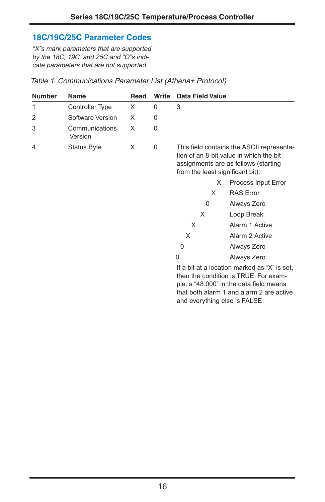## **18C/19C/25C Parameter Codes**

"X"s mark parameters that are supported by the 18C, 19C, and 25C and "O"s indicate parameters that are not supported.

| <b>Number</b> | Name                      | Read | Write | <b>Data Field Value</b>          |                                                                                                                                  |
|---------------|---------------------------|------|-------|----------------------------------|----------------------------------------------------------------------------------------------------------------------------------|
| 1             | <b>Controller Type</b>    | X    | 0     | 3                                |                                                                                                                                  |
| 2             | Software Version          | X    | 0     |                                  |                                                                                                                                  |
| 3             | Communications<br>Version | X    | 0     |                                  |                                                                                                                                  |
| 4             | Status Byte               | X    | 0     | from the least significant bit): | This field contains the ASCII representa-<br>tion of an 8-bit value in which the bit<br>assignments are as follows (starting     |
|               |                           |      |       | X                                | <b>Process Input Error</b>                                                                                                       |
|               |                           |      |       | X                                | <b>RAS Error</b>                                                                                                                 |
|               |                           |      |       | 0                                | Always Zero                                                                                                                      |
|               |                           |      |       | X                                | Loop Break                                                                                                                       |
|               |                           |      |       | X                                | Alarm 1 Active                                                                                                                   |
|               |                           |      |       | X                                | Alarm 2 Active                                                                                                                   |
|               |                           |      |       | 0                                | Always Zero                                                                                                                      |
|               |                           |      |       | 0                                | Always Zero                                                                                                                      |
|               |                           |      |       |                                  | If a bit at a location marked as "X" is set,<br>then the condition is TRUE. For exam-<br>ple, a "48.000" in the data field means |

that both alarm 1 and alarm 2 are active

and everything else is FALSE.

Table 1. Communications Parameter List (Athena+ Protocol)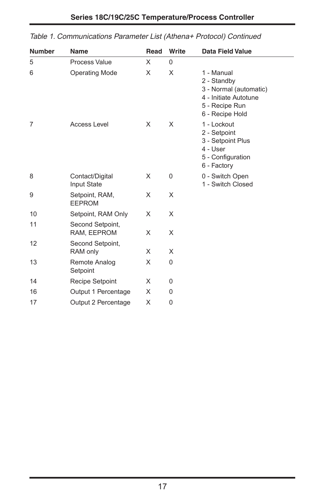| <b>Number</b> | <b>Name</b>                     | Read | Write    | Data Field Value                                                                                                  |
|---------------|---------------------------------|------|----------|-------------------------------------------------------------------------------------------------------------------|
| 5             | Process Value                   | X    | $\Omega$ |                                                                                                                   |
| 6             | <b>Operating Mode</b>           | X    | X        | 1 - Manual<br>2 - Standby<br>3 - Normal (automatic)<br>4 - Initiate Autotune<br>5 - Recipe Run<br>6 - Recipe Hold |
| 7             | Access Level                    | X    | X        | 1 - Lockout<br>2 - Setpoint<br>3 - Setpoint Plus<br>4 - User<br>5 - Configuration<br>6 - Factory                  |
| 8             | Contact/Digital<br>Input State  | X    | $\Omega$ | 0 - Switch Open<br>1 - Switch Closed                                                                              |
| 9             | Setpoint, RAM,<br><b>EEPROM</b> | X    | X        |                                                                                                                   |
| 10            | Setpoint, RAM Only              | X    | X        |                                                                                                                   |
| 11            | Second Setpoint,<br>RAM, EEPROM | X    | X        |                                                                                                                   |
| 12            | Second Setpoint,<br>RAM only    | X    | X        |                                                                                                                   |
| 13            | Remote Analog<br>Setpoint       | X    | $\Omega$ |                                                                                                                   |
| 14            | Recipe Setpoint                 | X    | $\Omega$ |                                                                                                                   |
| 16            | Output 1 Percentage             | X    | 0        |                                                                                                                   |
| 17            | Output 2 Percentage             | X    | 0        |                                                                                                                   |

## **Series 18C/19C/25C Temperature/Process Controller**

Table 1. Communications Parameter List (Athena+ Protocol) Continued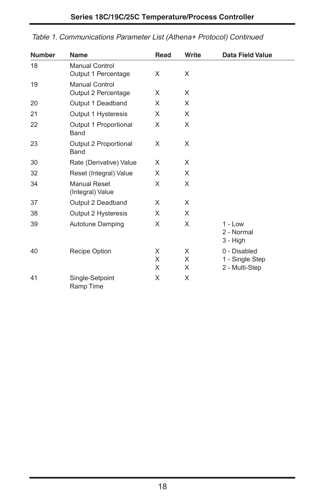| <b>Number</b> | Name                                    | Read   | Write  | <b>Data Field Value</b>               |
|---------------|-----------------------------------------|--------|--------|---------------------------------------|
| 18            | Manual Control<br>Output 1 Percentage   | X      | X      |                                       |
| 19            | Manual Control<br>Output 2 Percentage   | X      | X      |                                       |
| 20            | Output 1 Deadband                       | X      | X      |                                       |
| 21            | Output 1 Hysteresis                     | X      | X      |                                       |
| 22            | Output 1 Proportional<br>Band           | X      | X      |                                       |
| 23            | Output 2 Proportional<br><b>Band</b>    | X      | X      |                                       |
| 30            | Rate (Derivative) Value                 | X      | X      |                                       |
| 32            | Reset (Integral) Value                  | X      | X      |                                       |
| 34            | <b>Manual Reset</b><br>(Integral) Value | X      | X      |                                       |
| 37            | Output 2 Deadband                       | X      | X      |                                       |
| 38            | Output 2 Hysteresis                     | X      | X      |                                       |
| 39            | Autotune Damping                        | X      | X      | $1 - Low$<br>2 - Normal<br>$3 - High$ |
| 40            | <b>Recipe Option</b>                    | X      | X      | 0 - Disabled                          |
|               |                                         | X<br>X | X<br>X | 1 - Single Step<br>2 - Multi-Step     |
| 41            | Single-Setpoint<br>Ramp Time            | X      | X      |                                       |

Table 1. Communications Parameter List (Athena+ Protocol) Continued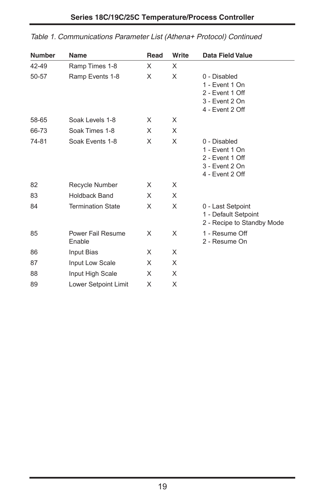| <b>Number</b> | Name                        | Read | Write | Data Field Value                                                                       |
|---------------|-----------------------------|------|-------|----------------------------------------------------------------------------------------|
| 42-49         | Ramp Times 1-8              | X    | X     |                                                                                        |
| 50-57         | Ramp Events 1-8             | X    | X     | 0 - Disabled<br>1 - Event 1 On<br>2 - Event 1 Off<br>3 - Event 2 On<br>4 - Event 2 Off |
| 58-65         | Soak Levels 1-8             | X    | X     |                                                                                        |
| 66-73         | Soak Times 1-8              | X    | X     |                                                                                        |
| 74-81         | Soak Events 1-8             | X    | X     | 0 - Disabled<br>1 - Event 1 On<br>2 - Event 1 Off<br>3 - Event 2 On<br>4 - Event 2 Off |
| 82            | Recycle Number              | X    | X     |                                                                                        |
| 83            | <b>Holdback Band</b>        | X    | X     |                                                                                        |
| 84            | <b>Termination State</b>    | X    | X     | 0 - Last Setpoint<br>1 - Default Setpoint<br>2 - Recipe to Standby Mode                |
| 85            | Power Fail Resume<br>Enable | X    | X     | 1 - Resume Off<br>2 - Resume On                                                        |
| 86            | Input Bias                  | X    | X     |                                                                                        |
| 87            | Input Low Scale             | X    | X     |                                                                                        |
| 88            | Input High Scale            | X    | X     |                                                                                        |
| 89            | Lower Setpoint Limit        | X    | X     |                                                                                        |

Table 1. Communications Parameter List (Athena+ Protocol) Continued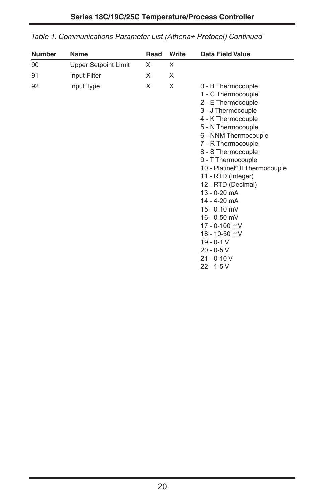| <b>Number</b> | <b>Name</b>                 | Read | Write | <b>Data Field Value</b>                                                                                                                                                                                                                                                                                                                                                                                                                                                                      |
|---------------|-----------------------------|------|-------|----------------------------------------------------------------------------------------------------------------------------------------------------------------------------------------------------------------------------------------------------------------------------------------------------------------------------------------------------------------------------------------------------------------------------------------------------------------------------------------------|
| 90            | <b>Upper Setpoint Limit</b> | X    | X     |                                                                                                                                                                                                                                                                                                                                                                                                                                                                                              |
| 91            | Input Filter                | X    | X     |                                                                                                                                                                                                                                                                                                                                                                                                                                                                                              |
| 92            | Input Type                  | X    | X     | 0 - B Thermocouple<br>1 - C Thermocouple<br>2 - E Thermocouple<br>3 - J Thermocouple<br>4 - K Thermocouple<br>5 - N Thermocouple<br>6 - NNM Thermocouple<br>7 - R Thermocouple<br>8 - S Thermocouple<br>9 - T Thermocouple<br>10 - Platinel <sup>®</sup> II Thermocouple<br>11 - RTD (Integer)<br>12 - RTD (Decimal)<br>13 - 0-20 mA<br>14 - 4-20 mA<br>15 - 0-10 mV<br>16 - 0-50 mV<br>17 - 0-100 mV<br>18 - 10-50 mV<br>$19 - 0 - 1$ V<br>$20 - 0 - 5V$<br>$21 - 0 - 10V$<br>$22 - 1 - 5V$ |

Table 1. Communications Parameter List (Athena+ Protocol) Continued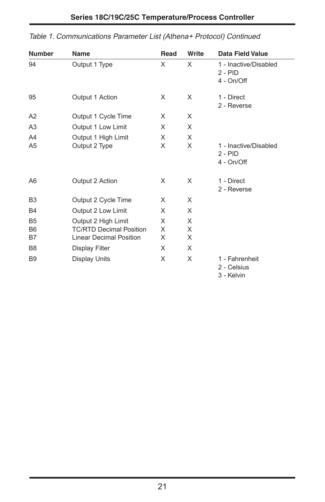| <b>Number</b>                          | Name                                                                                    | Read        | Write       | <b>Data Field Value</b>                            |
|----------------------------------------|-----------------------------------------------------------------------------------------|-------------|-------------|----------------------------------------------------|
| 94                                     | Output 1 Type                                                                           | X           | X           | 1 - Inactive/Disabled<br>$2 - PID$<br>4 - On/Off   |
| 95                                     | Output 1 Action                                                                         | X           | X           | 1 - Direct<br>2 - Reverse                          |
| A2                                     | Output 1 Cycle Time                                                                     | X           | X           |                                                    |
| A <sub>3</sub>                         | Output 1 Low Limit                                                                      | X           | X           |                                                    |
| A4<br>A5                               | Output 1 High Limit<br>Output 2 Type                                                    | X<br>X      | X<br>X      | 1 - Inactive/Disabled<br>$2 - PID$<br>$4 - On/Off$ |
| A6                                     | Output 2 Action                                                                         | X           | X           | 1 - Direct<br>2 - Reverse                          |
| B <sub>3</sub>                         | Output 2 Cycle Time                                                                     | X           | X           |                                                    |
| <b>B4</b>                              | Output 2 Low Limit                                                                      | X           | X           |                                                    |
| B <sub>5</sub><br>B <sub>6</sub><br>B7 | Output 2 High Limit<br><b>TC/RTD Decimal Position</b><br><b>Linear Decimal Position</b> | X<br>X<br>X | X<br>X<br>X |                                                    |
| B <sub>8</sub>                         | <b>Display Filter</b>                                                                   | X           | X           |                                                    |
| B <sub>9</sub>                         | <b>Display Units</b>                                                                    | X           | X           | 1 - Fahrenheit<br>2 - Celsius<br>3 - Kelvin        |

| Table 1. Communications Parameter List (Athena+ Protocol) Continued |  |  |
|---------------------------------------------------------------------|--|--|
|                                                                     |  |  |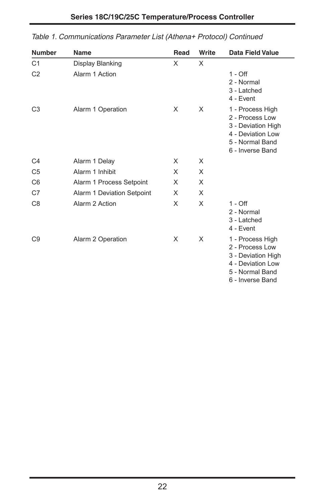| <b>Number</b>  | <b>Name</b>                | Read | Write | Data Field Value                                                                                                      |
|----------------|----------------------------|------|-------|-----------------------------------------------------------------------------------------------------------------------|
| C <sub>1</sub> | Display Blanking           | X    | X     |                                                                                                                       |
| C <sub>2</sub> | Alarm 1 Action             |      |       | $1 - \text{Off}$<br>2 - Normal<br>3 - Latched<br>4 - Event                                                            |
| C <sub>3</sub> | Alarm 1 Operation          | X    | X     | 1 - Process High<br>2 - Process Low<br>3 - Deviation High<br>4 - Deviation Low<br>5 - Normal Band<br>6 - Inverse Band |
| C <sub>4</sub> | Alarm 1 Delay              | X    | X     |                                                                                                                       |
| C <sub>5</sub> | Alarm 1 Inhibit            | X    | X     |                                                                                                                       |
| C <sub>6</sub> | Alarm 1 Process Setpoint   | X    | X     |                                                                                                                       |
| C7             | Alarm 1 Deviation Setpoint | X    | X     |                                                                                                                       |
| C <sub>8</sub> | Alarm 2 Action             | X    | X     | $1 - \text{Off}$<br>2 - Normal<br>3 - Latched<br>4 - Event                                                            |
| C <sub>9</sub> | Alarm 2 Operation          | X    | X     | 1 - Process High<br>2 - Process Low<br>3 - Deviation High<br>4 - Deviation Low<br>5 - Normal Band<br>6 - Inverse Band |

|  | Table 1. Communications Parameter List (Athena+ Protocol) Continued |  |  |  |  |
|--|---------------------------------------------------------------------|--|--|--|--|
|--|---------------------------------------------------------------------|--|--|--|--|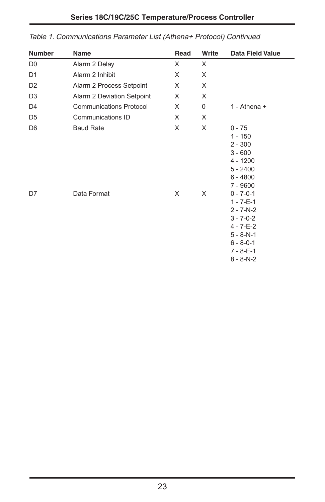| <b>Number</b>  | <b>Name</b>                    | Read | Write       | <b>Data Field Value</b>                                                                                                                                                 |
|----------------|--------------------------------|------|-------------|-------------------------------------------------------------------------------------------------------------------------------------------------------------------------|
| D <sub>0</sub> | Alarm 2 Delay                  | X    | X           |                                                                                                                                                                         |
| D <sub>1</sub> | Alarm 2 Inhibit                | X    | X           |                                                                                                                                                                         |
| D <sub>2</sub> | Alarm 2 Process Setpoint       | X    | X           |                                                                                                                                                                         |
| D <sub>3</sub> | Alarm 2 Deviation Setpoint     | X    | X           |                                                                                                                                                                         |
| D4             | <b>Communications Protocol</b> | X    | $\mathbf 0$ | $1 -$ Athena $+$                                                                                                                                                        |
| D <sub>5</sub> | <b>Communications ID</b>       | X    | X           |                                                                                                                                                                         |
| D <sub>6</sub> | <b>Baud Rate</b>               | X    | X           | $0 - 75$<br>$1 - 150$<br>$2 - 300$<br>$3 - 600$<br>4 - 1200<br>$5 - 2400$<br>$6 - 4800$<br>7 - 9600                                                                     |
| D7             | Data Format                    | X    | X           | $0 - 7 - 0 - 1$<br>$1 - 7 - E - 1$<br>$2 - 7 - N - 2$<br>$3 - 7 - 0 - 2$<br>$4 - 7 - E - 2$<br>$5 - 8 - N - 1$<br>$6 - 8 - 0 - 1$<br>$7 - 8 - E - 1$<br>$8 - 8 - N - 2$ |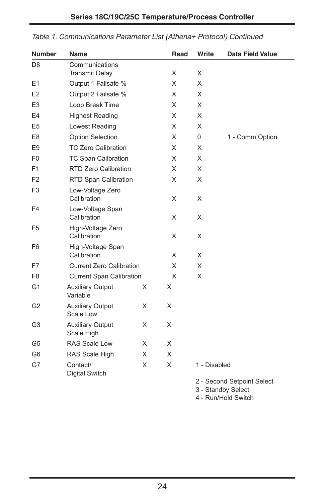| <b>Number</b>  | Name                                        |   | Read | Write        | <b>Data Field Value</b>    |
|----------------|---------------------------------------------|---|------|--------------|----------------------------|
| D <sub>8</sub> | Communications                              |   |      |              |                            |
|                | <b>Transmit Delay</b>                       |   | X    | X            |                            |
| E1             | Output 1 Failsafe %                         |   | X    | X            |                            |
| E <sub>2</sub> | Output 2 Failsafe %                         |   | X    | X            |                            |
| E3             | Loop Break Time                             |   | X    | X            |                            |
| E4             | <b>Highest Reading</b>                      |   | X    | X            |                            |
| E5             | Lowest Reading                              |   | X    | X            |                            |
| E8             | <b>Option Selection</b>                     |   | X    | 0            | 1 - Comm Option            |
| E9             | <b>TC Zero Calibration</b>                  |   | X    | X            |                            |
| F <sub>0</sub> | <b>TC Span Calibration</b>                  |   | X    | X            |                            |
| F <sub>1</sub> | <b>RTD Zero Calibration</b>                 |   | X    | X            |                            |
| F <sub>2</sub> | RTD Span Calibration                        |   | X    | X            |                            |
| F3             | Low-Voltage Zero<br>Calibration             |   | X    | X            |                            |
| F4             | Low-Voltage Span<br>Calibration             |   | X    | X            |                            |
| F <sub>5</sub> | High-Voltage Zero<br>Calibration            |   | X    | X            |                            |
| F <sub>6</sub> | High-Voltage Span<br>Calibration            |   | X    | X            |                            |
| F7             | <b>Current Zero Calibration</b>             |   | X    | X            |                            |
| F <sub>8</sub> | <b>Current Span Calibration</b>             |   | X    | X            |                            |
| G <sub>1</sub> | <b>Auxiliary Output</b><br>Variable         | X | X    |              |                            |
| G2             | <b>Auxiliary Output</b><br><b>Scale Low</b> | X | X    |              |                            |
| G <sub>3</sub> | <b>Auxiliary Output</b><br>Scale High       | X | X    |              |                            |
| G5             | RAS Scale Low                               | X | X    |              |                            |
| G <sub>6</sub> | RAS Scale High                              | X | X    |              |                            |
| G7             | Contact/<br><b>Digital Switch</b>           | X | X    | 1 - Disabled |                            |
|                |                                             |   |      |              | 2 - Second Setpoint Select |

### Table 1. Communications Parameter List (Athena+ Protocol) Continued

3 - Standby Select 4 - Run/Hold Switch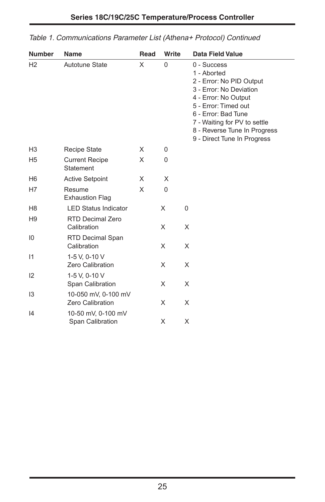| <b>Number</b>  | Name                                      | Read | Write       | <b>Data Field Value</b>                                                                                                                                                                                                                                   |
|----------------|-------------------------------------------|------|-------------|-----------------------------------------------------------------------------------------------------------------------------------------------------------------------------------------------------------------------------------------------------------|
| H <sub>2</sub> | Autotune State                            | X    | $\Omega$    | $0 - Success$<br>1 - Aborted<br>2 - Error: No PID Output<br>3 - Error: No Deviation<br>4 - Error: No Output<br>5 - Error: Timed out<br>6 - Error: Bad Tune<br>7 - Waiting for PV to settle<br>8 - Reverse Tune In Progress<br>9 - Direct Tune In Progress |
| H <sub>3</sub> | <b>Recipe State</b>                       | X    | $\mathbf 0$ |                                                                                                                                                                                                                                                           |
| H <sub>5</sub> | <b>Current Recipe</b><br><b>Statement</b> | X    | 0           |                                                                                                                                                                                                                                                           |
| H <sub>6</sub> | <b>Active Setpoint</b>                    | X    | X           |                                                                                                                                                                                                                                                           |
| H7             | Resume<br><b>Exhaustion Flag</b>          | X    | $\Omega$    |                                                                                                                                                                                                                                                           |
| H <sub>8</sub> | <b>LED Status Indicator</b>               |      | X           | $\mathbf 0$                                                                                                                                                                                                                                               |
| H <sub>9</sub> | RTD Decimal Zero<br>Calibration           |      | X           | X                                                                                                                                                                                                                                                         |
| 10             | <b>RTD Decimal Span</b><br>Calibration    |      | X           | X                                                                                                                                                                                                                                                         |
| 11             | 1-5 V, 0-10 V<br>Zero Calibration         |      | X           | X                                                                                                                                                                                                                                                         |
| 12             | 1-5 V, 0-10 V<br>Span Calibration         |      | X           | X                                                                                                                                                                                                                                                         |
| 13             | 10-050 mV, 0-100 mV<br>Zero Calibration   |      | X           | X                                                                                                                                                                                                                                                         |
| 14             | 10-50 mV, 0-100 mV<br>Span Calibration    |      | X           | X                                                                                                                                                                                                                                                         |

| Table 1. Communications Parameter List (Athena+ Protocol) Continued |  |  |
|---------------------------------------------------------------------|--|--|
|                                                                     |  |  |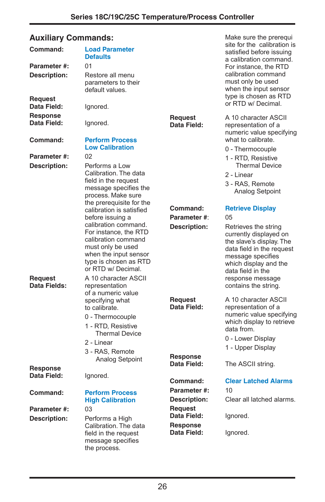Make sure the prerequi

## **Auxiliary Commands:**

| Command:                           | <b>Load Parameter</b><br><b>Defaults</b>                                                                                                                          |                              | site for the calibration is<br>satisfied before issuing<br>a calibration command.                                                                                          |
|------------------------------------|-------------------------------------------------------------------------------------------------------------------------------------------------------------------|------------------------------|----------------------------------------------------------------------------------------------------------------------------------------------------------------------------|
| Parameter #:                       | 01                                                                                                                                                                |                              | For instance, the RTD                                                                                                                                                      |
| Description:                       | Restore all menu<br>parameters to their<br>default values.                                                                                                        |                              | calibration command<br>must only be used<br>when the input sensor                                                                                                          |
| <b>Request</b><br>Data Field:      | Ignored.                                                                                                                                                          |                              | type is chosen as RTD<br>or RTD w/ Decimal.                                                                                                                                |
| Response<br>Data Field:            | Ignored.                                                                                                                                                          | Request<br>Data Field:       | A 10 character ASCII<br>representation of a<br>numeric value specifying                                                                                                    |
| Command:                           | <b>Perform Process</b><br><b>Low Calibration</b>                                                                                                                  |                              | what to calibrate.<br>0 - Thermocouple                                                                                                                                     |
| <b>Parameter#:</b><br>Description: | 02<br>Performs a Low<br>Calibration. The data                                                                                                                     |                              | 1 - RTD, Resistive<br><b>Thermal Device</b>                                                                                                                                |
|                                    | field in the request<br>message specifies the<br>process. Make sure                                                                                               |                              | 2 - Linear<br>3 - RAS, Remote<br>Analog Setpoint                                                                                                                           |
|                                    | the prerequisite for the<br>calibration is satisfied                                                                                                              | Command:                     | <b>Retrieve Display</b>                                                                                                                                                    |
|                                    | before issuing a                                                                                                                                                  | Parameter #:                 | 05                                                                                                                                                                         |
|                                    | calibration command.<br>For instance, the RTD<br>calibration command<br>must only be used<br>when the input sensor<br>type is chosen as RTD<br>or RTD w/ Decimal. | Description:                 | Retrieves the string<br>currently displayed on<br>the slave's display. The<br>data field in the request<br>message specifies<br>which display and the<br>data field in the |
| Request<br>Data Fields:            | A 10 character ASCII<br>representation<br>of a numeric value                                                                                                      |                              | response message<br>contains the string.                                                                                                                                   |
|                                    | specifying what<br>to calibrate.<br>0 - Thermocouple<br>1 - RTD, Resistive                                                                                        | Request<br>Data Field:       | A 10 character ASCII<br>representation of a<br>numeric value specifying<br>which display to retrieve<br>data from.                                                         |
|                                    | <b>Thermal Device</b><br>2 - Linear<br>3 - RAS, Remote                                                                                                            |                              | 0 - Lower Display<br>1 - Upper Display                                                                                                                                     |
| Response                           | Analog Setpoint                                                                                                                                                   | Response<br>Data Field:      | The ASCII string.                                                                                                                                                          |
| Data Field:                        | Ignored.                                                                                                                                                          | Command:                     | <b>Clear Latched Alarms</b>                                                                                                                                                |
| Command:                           | <b>Perform Process</b><br><b>High Calibration</b>                                                                                                                 | Parameter #:<br>Description: | 10<br>Clear all latched alarms.                                                                                                                                            |
| Parameter #:                       | 03                                                                                                                                                                | Request                      |                                                                                                                                                                            |
| Description:                       | Performs a High<br>Calibration. The data                                                                                                                          | Data Field:<br>Response      | Ignored.                                                                                                                                                                   |
|                                    | field in the request<br>message specifies<br>the process.                                                                                                         | Data Field:                  | Ignored.                                                                                                                                                                   |